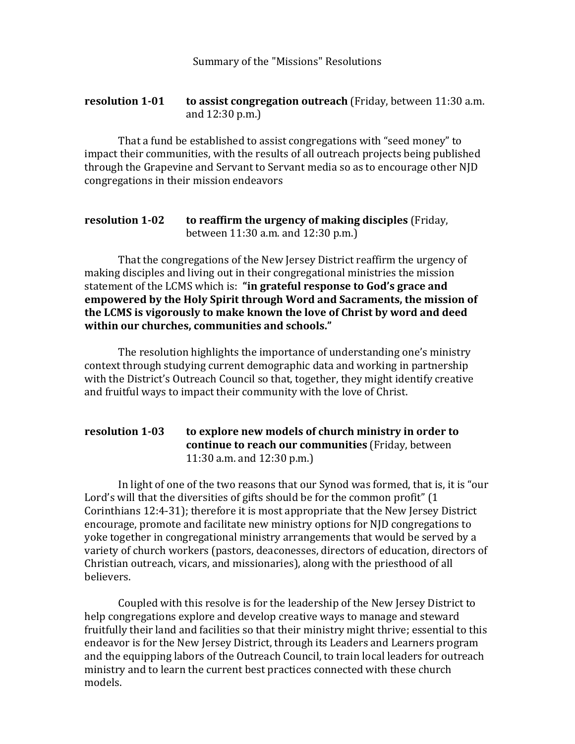Summary of the "Missions" Resolutions

## **resolution 1-01 to assist congregation outreach** (Friday, between 11:30 a.m. and 12:30 p.m.)

That a fund be established to assist congregations with "seed money" to impact their communities, with the results of all outreach projects being published through the Grapevine and Servant to Servant media so as to encourage other NJD congregations in their mission endeavors

## **resolution 1-02 to reaffirm the urgency of making disciples** (Friday, between 11:30 a.m. and 12:30 p.m.)

That the congregations of the New Jersey District reaffirm the urgency of making disciples and living out in their congregational ministries the mission statement of the LCMS which is: "in grateful response to God's grace and **empowered by the Holy Spirit through Word and Sacraments, the mission of** the LCMS is vigorously to make known the love of Christ by word and deed within our churches, communities and schools."

The resolution highlights the importance of understanding one's ministry context through studying current demographic data and working in partnership with the District's Outreach Council so that, together, they might identify creative and fruitful ways to impact their community with the love of Christ.

## **resolution 1-03 to explore new models of church ministry in order to continue to reach our communities** (Friday, between  $11:30$  a.m. and  $12:30$  p.m.)

In light of one of the two reasons that our Synod was formed, that is, it is "our Lord's will that the diversities of gifts should be for the common profit"  $(1)$ Corinthians  $12:4-31$ ; therefore it is most appropriate that the New Jersey District encourage, promote and facilitate new ministry options for NJD congregations to yoke together in congregational ministry arrangements that would be served by a variety of church workers (pastors, deaconesses, directors of education, directors of Christian outreach, vicars, and missionaries), along with the priesthood of all believers.

Coupled with this resolve is for the leadership of the New Jersey District to help congregations explore and develop creative ways to manage and steward fruitfully their land and facilities so that their ministry might thrive; essential to this endeavor is for the New Jersey District, through its Leaders and Learners program and the equipping labors of the Outreach Council, to train local leaders for outreach ministry and to learn the current best practices connected with these church models.